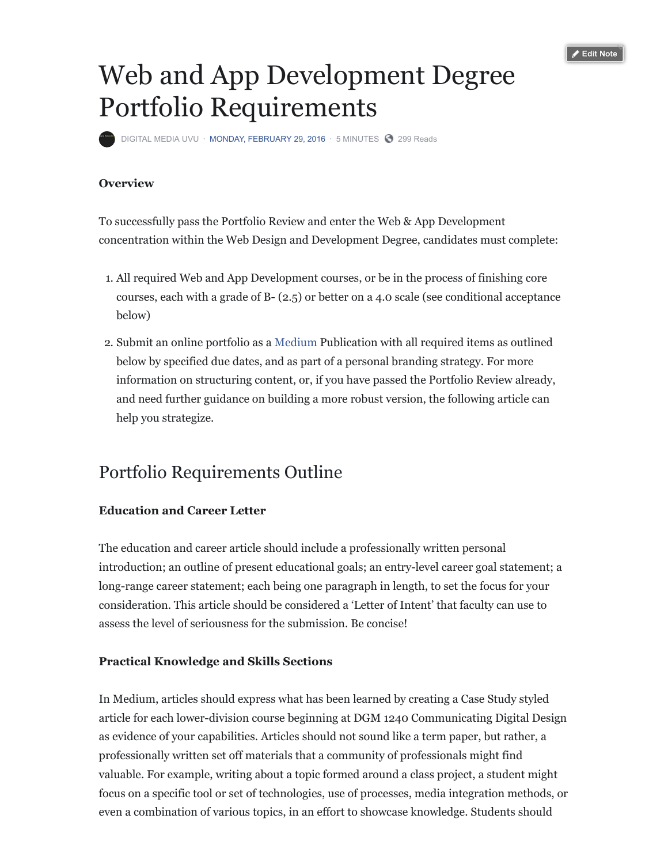

# Web and App Development Degree Portfolio Requirements

[DIGITAL MEDIA UVU](https://www.facebook.com/Digital-Media-UVU-280516402797/) · [MONDAY, FEBRUARY 29, 2016](https://www.facebook.com/notes/digital-media-uvu/web-and-app-development-degree-portfolio-requirements/10153675491832798/) · 5 MINUTES @ 299 Reads

# **Overview**

To successfully pass the Portfolio Review and enter the Web & App Development concentration within the Web Design and Development Degree, candidates must complete:

- 1. All required Web and App Development courses, or be in the process of finishing core courses, each with a grade of B- (2.5) or better on a 4.0 scale (see conditional acceptance below)
- 2. Submit an online portfolio as a [Medium](https://l.facebook.com/l.php?u=https%3A%2F%2Fmedium.com%2F%3Ffbclid%3DIwAR15f8hLF2xkcqkxkGYQ1E5HuB56d2ccqtoa1EAQz8cgZU2IAvSl_2X2CBc&h=AT23BhteIO-RPPEMg8w2u0SpkNDs1LuoXwABZREfdZ-bxRVpPUIVb9agStiliFT41dT-TwPTfPqkekBgm4-ANWyGnjmV09-3sYbgrYCUFzGzIeh-idQ1rnUNx6k-Y9LMZYxiogfDxSdzckCc) Publication with all required items as outlined below by specified due dates, and as part of a personal branding strategy. For more information on structuring content, or, if you have passed the Portfolio Review already, and need further guidance on building a more robust version, the following article can help you strategize.

# Portfolio Requirements Outline

## **Education and Career Letter**

The education and career article should include a professionally written personal introduction; an outline of present educational goals; an entry-level career goal statement; a long-range career statement; each being one paragraph in length, to set the focus for your consideration. This article should be considered a 'Letter of Intent' that faculty can use to assess the level of seriousness for the submission. Be concise!

### **Practical Knowledge and Skills Sections**

In Medium, articles should express what has been learned by creating a Case Study styled article for each lower-division course beginning at DGM 1240 Communicating Digital Design as evidence of your capabilities. Articles should not sound like a term paper, but rather, a professionally written set off materials that a community of professionals might find valuable. For example, writing about a topic formed around a class project, a student might focus on a specific tool or set of technologies, use of processes, media integration methods, or even a combination of various topics, in an effort to showcase knowledge. Students should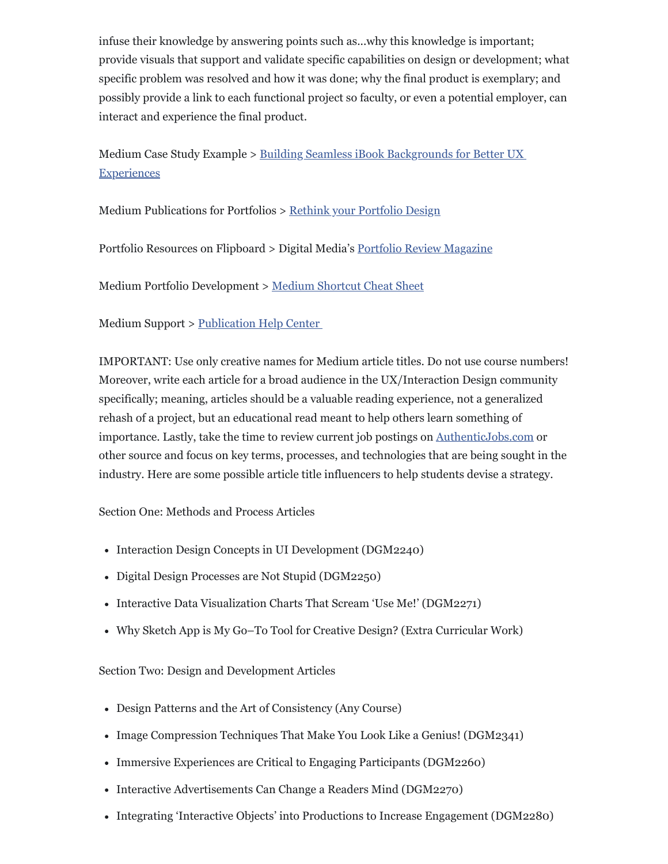infuse their knowledge by answering points such as...why this knowledge is important; provide visuals that support and validate specific capabilities on design or development; what specific problem was resolved and how it was done; why the final product is exemplary; and possibly provide a link to each functional project so faculty, or even a potential employer, can interact and experience the final product.

[Medium Case Study Example > Building Seamless iBook Backgrounds for Better UX](https://shrtm.nu/C7pW?fbclid=IwAR0zh09d9ap-NnLEsV6ukrDcXWowqaBNOi4Y8l9d9_sQvTUffM2f00KoAiY) **Experiences** 

Medium Publications for Portfolios > [Rethink your Portfolio Design](https://medium.com/portfolio-principles?fbclid=IwAR3NgFZF4YOSydeSFWgV561PpuDPbbBGh8sdAKVQaJC9lZaUZWZyv-2uRfA)

Portfolio Resources on Flipboard > Digital Media's [Portfolio Review Magazine](https://l.facebook.com/l.php?u=https%3A%2F%2Fflipboard.com%2F%40digitalmediauvu%2Fweb-design-%2526-dev-%7E-portfolio-review-3k6eoa3ry%3Ffbclid%3DIwAR2JFH2rwiP99ijfkLjSxzs7woPCFyla2vmENYUdDRrrIAJzGXZCwLWtCN0&h=AT0fgrM5JR24_2nXNvC4nSmP8UuJIufxW-lvveXeLMB6KaTTdZnxKyHz8t1J0tpyETGQhGiabdant4dU2gwO13L1CJQ-4Jyu6Vzpe1zJCnikSfjg78UuBMQwcceQRK-8p6I)

Medium Portfolio Development > [Medium Shortcut Cheat Sheet](https://help.medium.com/hc/en-us/articles/214672207-Keyboard-shortcuts?fbclid=IwAR2WtCstySuzAd_oXeD_nfFxQyru9lwPvjbj4ydG36E_jN45r3PQTPXG8xw)

Medium Support > [Publication Help Center](https://l.facebook.com/l.php?u=https%3A%2F%2Fhelp.medium.com%2Fhc%2Fen-us%3Ffbclid%3DIwAR0uYv6mPCChuLP8z-YJuvDeekcI6etcI7NKdknHZmoclLHB_AP_z7kWI6c&h=AT20Me2A3RTVAOcJ9hNGXF9V2soGxxKjp8MzIoOxgDz5MGfoCHA5mbfnfkbo2GID0Sbzjr_6UKjtljMQ09hbt0JJErUs3P4-PO5Xhvc4XVrR04jISYGDM8QyFrkFuF0WGX8)

IMPORTANT: Use only creative names for Medium article titles. Do not use course numbers! Moreover, write each article for a broad audience in the UX/Interaction Design community specifically; meaning, articles should be a valuable reading experience, not a generalized rehash of a project, but an educational read meant to help others learn something of importance. Lastly, take the time to review current job postings on [AuthenticJobs.com](https://l.facebook.com/l.php?u=https%3A%2F%2Fauthenticjobs.com%2F%3Ffbclid%3DIwAR0uVMICRmnCynH5qGyucqDuLeyYs8gugVFGXb-1IZmyvrF14tuZtLDfDGA&h=AT32T1YQEc2P6zIpAmqoEkD3xbGI3xTcP7pOfrkXKMuEveZ4SNT6LN4QNwANdx9OSvxkRNTvN26yqp1sNi4ustiEuzYNu83sQ7guEvbP_1x9IspNYJrcaNo-eM27qUZMhOg) or other source and focus on key terms, processes, and technologies that are being sought in the industry. Here are some possible article title influencers to help students devise a strategy.

Section One: Methods and Process Articles

- Interaction Design Concepts in UI Development (DGM2240)
- Digital Design Processes are Not Stupid (DGM2250)
- Interactive Data Visualization Charts That Scream 'Use Me!' (DGM2271)
- Why Sketch App is My Go–To Tool for Creative Design? (Extra Curricular Work)

Section Two: Design and Development Articles

- Design Patterns and the Art of Consistency (Any Course)
- Image Compression Techniques That Make You Look Like a Genius! (DGM2341)
- Immersive Experiences are Critical to Engaging Participants (DGM2260)
- Interactive Advertisements Can Change a Readers Mind (DGM2270)
- Integrating 'Interactive Objects' into Productions to Increase Engagement (DGM2280)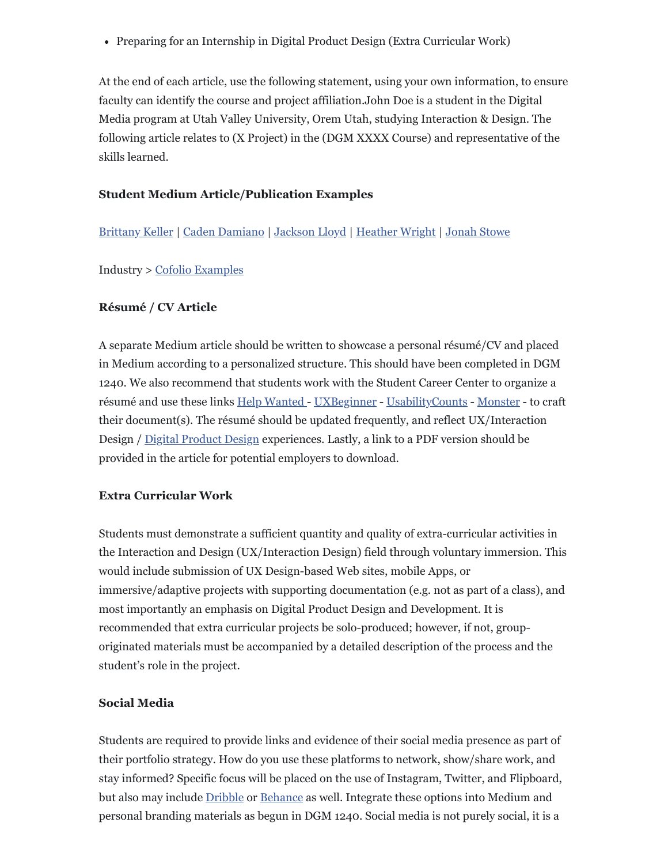Preparing for an Internship in Digital Product Design (Extra Curricular Work)

At the end of each article, use the following statement, using your own information, to ensure faculty can identify the course and project affiliation.John Doe is a student in the Digital Media program at Utah Valley University, Orem Utah, studying Interaction & Design. The following article relates to (X Project) in the (DGM XXXX Course) and representative of the skills learned.

# **Student Medium Article/Publication Examples**

[Brittany Keller](https://medium.com/brittanykeller?fbclid=IwAR2LUr1H6s8TOfhWJjJ6kRAPo9OM6OnA8Zey8xuLdZr-VV1xpG6GPPz36H0) | [Caden Damiano](https://l.facebook.com/l.php?u=https%3A%2F%2Fmedium.com%2Ffrom-the-desktop-of-caden-damiano%3Ffbclid%3DIwAR3r71N8bB8kZJzKy9RxP-LqVwJ33kSqZzi4danYSLHLex54EHHNZhejEzs&h=AT2uLU76LLSORDLn27o3ciSvVaN8pTn_h30aqGe-AF2KV9cXLJ17_Aw96FcrbsRChAIUNaFhRmpNe8uzY2Z0Jvgw1hj_PrzrbAdmgE_qvM5LQvzgT2sI1RNvtzxqTyRSfcg) | [Jackson Lloyd](https://l.facebook.com/l.php?u=https%3A%2F%2Fmedium.com%2Fportfolio-jackson-lloyd%3Ffbclid%3DIwAR0rPH_S1Pit1V5_S1kG9sF4f4ST0pccImO5DhPUCf5gxNAk2tEn8QypKB4&h=AT2WblbqJjS6d3HZBJTVWhb63ghFEOzH3TjaYR6JMfgj06DHi2CuEw-BA110HgMrv7FzhkdlvFvoknyEywPmS9uzvXM0qkcytdBHWv5be1Gqt95EuL5hrytNMRIx3X6tj3R8kDHAmiljyzOI) | [Heather Wright](https://l.facebook.com/l.php?u=https%3A%2F%2Fmedium.com%2Fheather-wright%3Ffbclid%3DIwAR1j-1HNMEJ3OZI_05hqnqJCdwmWePVJzRD6KoxUob58IdE1bd-v5soeRUs&h=AT3tFpbhAfmFv8GKe_6s5lC3jp8wsURatOQQuBdtKbZGrOW7mHeCDPw7b8bAJOhrLcPPn9GGtyjJmrc8OZN-ejfJDaJ4gcLwS8wbOJ6NWjqVBdnTPnR5KVd1hvP2eHxHgtU) | [Jonah Stowe](https://l.facebook.com/l.php?u=https%3A%2F%2Fmedium.com%2Fendori-design-jonah-stowe%3Ffbclid%3DIwAR1-Qpof9Du43f75RMFh2S2ZP0UI2zBlbZVrRPti1MR-QMbjTegrzmHHJuw&h=AT0oUbb0KpjKO_8P2GAMjz0RROS-0gdhtOmZR88afcKe237bTZkhBnAXGVCln-VdzSoYi7uGLUgUJiNE2gXMrjBnlAjQ_1isKt1TZS0ZHShZpJ2DqfV-qK8Aeu5NFSD8OmQ)

Industry > [Cofolio Examples](https://l.facebook.com/l.php?u=http%3A%2F%2Fcofolios.com%2F%3Ffbclid%3DIwAR2i0EhlMS8qDig--NabnLB6JFxn_4Gyq-hR2qv7RO75UDGzGiEtOgXNHw8%23modal-close&h=AT2qKaB223WBVVY4-JPny-V1_R3ODEknk__lhx26B4gQQQ1DqycsbdZ3Bv2ASIvnbEhroxUGllDHga0Lxsj7o2zIKgvhSlXTunLMfkBIOd3CcaXoraPNJDNyumDYE6FsgRI)

### **Résumé / CV Article**

A separate Medium article should be written to showcase a personal résumé/CV and placed in Medium according to a personalized structure. This should have been completed in DGM 1240. We also recommend that students work with the Student Career Center to organize a résumé and use these links [Help Wanted](https://l.facebook.com/l.php?u=https%3A%2F%2Fwww.interaction-design.org%2Fliterature%2Farticle%2Ftips-for-writing-a-cv-for-a-ux-job-application%3Ffbclid%3DIwAR1MaBP0kOvttYVE177P33O2ioSQIITJOXzNmJUNK40HmvXypIPn5gSlVPo&h=AT1EOqIFeLh7-iZIo0M_G8qUI7VrIXLYJpUeXrMwrPUxtLuZ73sAQSL6VcWCwcJc-qth8E6b5OROZMbdehFXU5JTlG-iJKbExPn-DxgVL8WR3bEWg40IERgE5aGQdAH1kaM) - [UXBeginner](https://l.facebook.com/l.php?u=http%3A%2F%2Fwww.uxbeginner.com%2Fcomplete-guide-to-ux-resumes-and-a-free-template%2F%3Ffbclid%3DIwAR0vz47-2I8GEFdQ-dthsTZY1rVRKPtgCb1RTcL13WWnQGvKG7pY6zBljzw&h=AT0O2dVXfICPyWmSR-Oe0fPOlpFtXRD67yx7wBzYX2attZKp0MmAR9Un3ybktBr2zyefuA4gEM696_oVWGDISL5muULNma3qhkLI-YXLoZSwZriOCwJfVPw6_oQzQo7eT4s) - [UsabilityCounts](https://l.facebook.com/l.php?u=http%3A%2F%2Fwww.usabilitycounts.com%2F2012%2F01%2F04%2Fhow-to-write-a-great-user-experience-resume%2F%3Ffbclid%3DIwAR2QNby3hpmWwjtp2pPSZh-ThjGiI61iJAatR1QfGerDIsmINgpDWbTnyg4&h=AT38yHFPtG9lLY_FaIiTv7wa9SyHf6TWSBoHQfRiErbs0wYA4p6hst6sGHStg_KL85WUZ3YVR6CcybamW04n0am_kBdO3Jag8Ao6enNLSMUQarYPoXjyGLzVEwQCvoiyMJo) - [Monster](https://l.facebook.com/l.php?u=https%3A%2F%2Fwww.monster.com%2Fcareer-advice%2Farticle%2Fsample-resume-UX-designer-entry-level%3Ffbclid%3DIwAR1UZkJaOFMU3BGjYwp5HqQpA3pUV2Ydu4ugqvsOOc3EjoDjXJ0Q4Ld-3a0&h=AT26ErpgUgJb7FmCGqBB-3KBGjoVx9snNkj620ZbItaTn95-uiKUV3KVanmEmMXCgxXpRJkAXGBMbD_O52DoxHdK8PXSI0RKJVManW8OiUH3jgdEHb6fsa_SWl4i3DwuBCKTv1WsMyggDsIF) - to craft their document(s). The résumé should be updated frequently, and reflect UX/Interaction Design / [Digital Product Design](https://l.facebook.com/l.php?u=https%3A%2F%2Fblogs.adobe.com%2Fcreativecloud%2Fthe-evolution-of-uiux-designers-into-product-designers%2F%3Ffbclid%3DIwAR1iHEy3R99_tx0dOEj_JB_uxXR3GZYuJKcTlR3ACbi7TSv-c6I8JUOexOM&h=AT0p_SZOOTyKsyK7UCJ_524UH35tIy9bVDZnoL0J9Qkppd_Vof7GG2e4grFjBvt6ZZN0EQGAtuT3nMQNeUD4PIwCKqTOo3xgfy6d0Ae-tknurk-q5culvrZwFq4bxxSywww) experiences. Lastly, a link to a PDF version should be provided in the article for potential employers to download.

### **Extra Curricular Work**

Students must demonstrate a sufficient quantity and quality of extra-curricular activities in the Interaction and Design (UX/Interaction Design) field through voluntary immersion. This would include submission of UX Design-based Web sites, mobile Apps, or immersive/adaptive projects with supporting documentation (e.g. not as part of a class), and most importantly an emphasis on Digital Product Design and Development. It is recommended that extra curricular projects be solo-produced; however, if not, grouporiginated materials must be accompanied by a detailed description of the process and the student's role in the project.

### **Social Media**

Students are required to provide links and evidence of their social media presence as part of their portfolio strategy. How do you use these platforms to network, show/share work, and stay informed? Specific focus will be placed on the use of Instagram, Twitter, and Flipboard, but also may include [Dribble](https://l.facebook.com/l.php?u=https%3A%2F%2Fdribbble.com%2F%3Ffbclid%3DIwAR1VULen1TiseZdoBEEq3J8aOxo8PilQ7yW4_ekcZOV9-xLA_8XehsWGpkU&h=AT0l6usd6KOgdt4eSs2igRKgITt431ReFqyoH5ih0l1k2p_jOfGr_uaHetRgEfr39l8sXncZXDuuj-lkA_YfaBbi33H5wOD74gDWMl7ayizGoghFq8GGKt-XL8Vb2J2WY1c) or [Behance](https://l.facebook.com/l.php?u=https%3A%2F%2Fwww.behance.net%2F%3Ffbclid%3DIwAR3QLzK2II-SmsIcXH8sBgfl_XOs1H8VgdSV-2NhmfsiDaXylhhREjaDEw4&h=AT2U5T4ufHrNQqCEkNQauhlk_WsTtDTZ8LIuPp18lkSl10RO8kPpDvjLzPUcn80PNsflZDxKy5FtCVPV9wHilg3O6OTN_7PKD_g9DjqRobzTs7WEy3UUDY8MhyjZOvsJ46Y) as well. Integrate these options into Medium and personal branding materials as begun in DGM 1240. Social media is not purely social, it is a